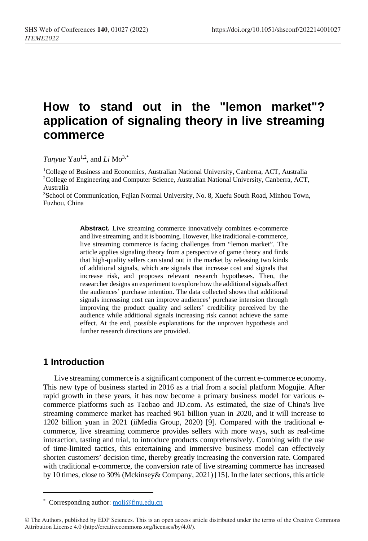# **How to stand out in the "lemon market"? application of signaling theory in live streaming commerce**

*Tanyue* Yao<sup>1,2</sup>, and *Li*  $Mo^{3,*}$  $Mo^{3,*}$  $Mo^{3,*}$ 

1College of Business and Economics, Australian National University, Canberra, ACT, Australia 2College of Engineering and Computer Science, Australian National University, Canberra, ACT, Australia

3School of Communication, Fujian Normal University, No. 8, Xuefu South Road, Minhou Town, Fuzhou, China

> Abstract. Live streaming commerce innovatively combines e-commerce and live streaming, and it is booming. However, like traditional e-commerce, live streaming commerce is facing challenges from "lemon market". The article applies signaling theory from a perspective of game theory and finds that high-quality sellers can stand out in the market by releasing two kinds of additional signals, which are signals that increase cost and signals that increase risk, and proposes relevant research hypotheses. Then, the researcher designs an experiment to explore how the additional signals affect the audiences' purchase intention. The data collected shows that additional signals increasing cost can improve audiences' purchase intension through improving the product quality and sellers' credibility perceived by the audience while additional signals increasing risk cannot achieve the same effect. At the end, possible explanations for the unproven hypothesis and further research directions are provided.

#### **1 Introduction**

l

Live streaming commerce is a significant component of the current e-commerce economy. This new type of business started in 2016 as a trial from a social platform Mogujie. After rapid growth in these years, it has now become a primary business model for various ecommerce platforms such as Taobao and JD.com. As estimated, the size of China's live streaming commerce market has reached 961 billion yuan in 2020, and it will increase to 1202 billion yuan in 2021 (iiMedia Group, 2020) [9]. Compared with the traditional ecommerce, live streaming commerce provides sellers with more ways, such as real-time interaction, tasting and trial, to introduce products comprehensively. Combing with the use of time-limited tactics, this entertaining and immersive business model can effectively shorten customers' decision time, thereby greatly increasing the conversion rate. Compared with traditional e-commerce, the conversion rate of live streaming commerce has increased by 10 times, close to 30% (Mckinsey& Company, 2021) [15]. In the later sections, this article

<sup>\*</sup> Corresponding author[: moli@fjnu.edu.cn](mailto:moli@fjnu.edu.cn)

<span id="page-0-0"></span><sup>©</sup> The Authors, published by EDP Sciences. This is an open access article distributed under the terms of the Creative Commons Attribution License 4.0 (http://creativecommons.org/licenses/by/4.0/).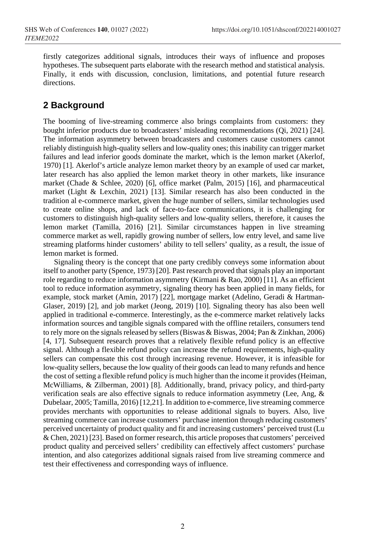firstly categorizes additional signals, introduces their ways of influence and proposes hypotheses. The subsequent parts elaborate with the research method and statistical analysis. Finally, it ends with discussion, conclusion, limitations, and potential future research directions.

# **2 Background**

The booming of live-streaming commerce also brings complaints from customers: they bought inferior products due to broadcasters' misleading recommendations (Qi, 2021) [24]. The information asymmetry between broadcasters and customers cause customers cannot reliably distinguish high-quality sellers and low-quality ones; this inability can trigger market failures and lead inferior goods dominate the market, which is the lemon market (Akerlof, 1970) [1]. Akerlof's article analyze lemon market theory by an example of used car market, later research has also applied the lemon market theory in other markets, like insurance market (Chade & Schlee, 2020) [6], office market (Palm, 2015) [16], and pharmaceutical market (Light & Lexchin, 2021) [13]. Similar research has also been conducted in the tradition al e-commerce market, given the huge number of sellers, similar technologies used to create online shops, and lack of face-to-face communications, it is challenging for customers to distinguish high-quality sellers and low-quality sellers, therefore, it causes the lemon market (Tamilla, 2016) [21]. Similar circumstances happen in live streaming commerce market as well, rapidly growing number of sellers, low entry level, and same live streaming platforms hinder customers' ability to tell sellers' quality, as a result, the issue of lemon market is formed.

Signaling theory is the concept that one party credibly conveys some information about itself to another party (Spence, 1973) [20]. Past research proved that signals play an important role regarding to reduce information asymmetry (Kirmani & Rao, 2000) [11]. As an efficient tool to reduce information asymmetry, signaling theory has been applied in many fields, for example, stock market (Amin, 2017) [22], mortgage market (Adelino, Geradi & Hartman-Glaser, 2019) [2], and job market (Jeong, 2019) [10]. Signaling theory has also been well applied in traditional e-commerce. Interestingly, as the e-commerce market relatively lacks information sources and tangible signals compared with the offline retailers, consumers tend to rely more on the signals released by sellers(Biswas & Biswas, 2004; Pan & Zinkhan, 2006) [4, 17]. Subsequent research proves that a relatively flexible refund policy is an effective signal. Although a flexible refund policy can increase the refund requirements, high-quality sellers can compensate this cost through increasing revenue. However, it is infeasible for low-quality sellers, because the low quality of their goods can lead to many refunds and hence the cost of setting a flexible refund policy is much higher than the income it provides(Heiman, McWilliams, & Zilberman, 2001) [8]. Additionally, brand, privacy policy, and third-party verification seals are also effective signals to reduce information asymmetry (Lee, Ang, & Dubelaar, 2005; Tamilla, 2016) [12,21]. In addition to e-commerce, live streaming commerce provides merchants with opportunities to release additional signals to buyers. Also, live streaming commerce can increase customers' purchase intention through reducing customers' perceived uncertainty of product quality and fit and increasing customers' perceived trust (Lu & Chen, 2021) [23]. Based on former research, this article proposes that customers' perceived product quality and perceived sellers' credibility can effectively affect customers' purchase intention, and also categorizes additional signals raised from live streaming commerce and test their effectiveness and corresponding ways of influence.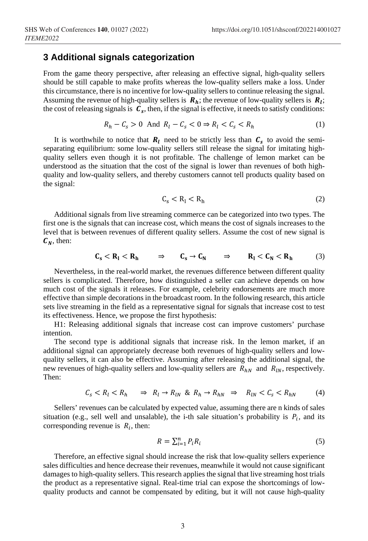#### **3 Additional signals categorization**

From the game theory perspective, after releasing an effective signal, high-quality sellers should be still capable to make profits whereas the low-quality sellers make a loss. Under this circumstance, there is no incentive for low-quality sellers to continue releasing the signal. Assuming the revenue of high-quality sellers is  $R_h$ ; the revenue of low-quality sellers is  $R_l$ ; the cost of releasing signals is  $C_s$ , then, if the signal is effective, it needs to satisfy conditions:

$$
R_h - C_s > 0 \quad \text{And} \quad R_l - C_s < 0 \Rightarrow R_l < C_s < R_h \tag{1}
$$

It is worthwhile to notice that  $R_l$  need to be strictly less than  $C_s$  to avoid the semiseparating equilibrium: some low-quality sellers still release the signal for imitating highquality sellers even though it is not profitable. The challenge of lemon market can be understood as the situation that the cost of the signal is lower than revenues of both highquality and low-quality sellers, and thereby customers cannot tell products quality based on the signal:

$$
C_s < R_l < R_h \tag{2}
$$

Additional signals from live streaming commerce can be categorized into two types. The first one is the signals that can increase cost, which means the cost of signals increases to the level that is between revenues of different quality sellers. Assume the cost of new signal is  $C_N$ , then:

$$
C_s < R_l < R_h \qquad \Rightarrow \qquad C_s \to C_N \qquad \Rightarrow \qquad R_l < C_N < R_h \tag{3}
$$

Nevertheless, in the real-world market, the revenues difference between different quality sellers is complicated. Therefore, how distinguished a seller can achieve depends on how much cost of the signals it releases. For example, celebrity endorsements are much more effective than simple decorations in the broadcast room. In the following research, this article sets live streaming in the field as a representative signal for signals that increase cost to test its effectiveness. Hence, we propose the first hypothesis:

H1: Releasing additional signals that increase cost can improve customers' purchase intention.

The second type is additional signals that increase risk. In the lemon market, if an additional signal can appropriately decrease both revenues of high-quality sellers and lowquality sellers, it can also be effective. Assuming after releasing the additional signal, the new revenues of high-quality sellers and low-quality sellers are  $R_{hN}$  and  $R_{lN}$ , respectively. Then:

$$
C_s < R_l < R_h \qquad \Rightarrow \quad R_l \to R_{lN} \quad \& R_h \to R_{hN} \quad \Rightarrow \quad R_{lN} < C_s < R_{hN} \tag{4}
$$

Sellers' revenues can be calculated by expected value, assuming there are n kinds of sales situation (e.g., sell well and unsalable), the i-th sale situation's probability is  $P_i$ , and its corresponding revenue is  $R_i$ , then:

$$
R = \sum_{i=1}^{n} P_i R_i \tag{5}
$$

Therefore, an effective signal should increase the risk that low-quality sellers experience sales difficulties and hence decrease their revenues, meanwhile it would not cause significant damages to high-quality sellers. This research applies the signal that live streaming host trials the product as a representative signal. Real-time trial can expose the shortcomings of lowquality products and cannot be compensated by editing, but it will not cause high-quality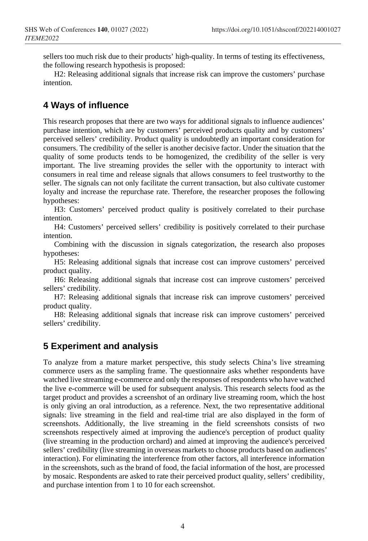sellers too much risk due to their products' high-quality. In terms of testing its effectiveness, the following research hypothesis is proposed:

H2: Releasing additional signals that increase risk can improve the customers' purchase intention.

# **4 Ways of influence**

This research proposes that there are two ways for additional signals to influence audiences' purchase intention, which are by customers' perceived products quality and by customers' perceived sellers' credibility. Product quality is undoubtedly an important consideration for consumers. The credibility of the seller is another decisive factor. Under the situation that the quality of some products tends to be homogenized, the credibility of the seller is very important. The live streaming provides the seller with the opportunity to interact with consumers in real time and release signals that allows consumers to feel trustworthy to the seller. The signals can not only facilitate the current transaction, but also cultivate customer loyalty and increase the repurchase rate. Therefore, the researcher proposes the following hypotheses:

H3: Customers' perceived product quality is positively correlated to their purchase intention.

H4: Customers' perceived sellers' credibility is positively correlated to their purchase intention.

Combining with the discussion in signals categorization, the research also proposes hypotheses:

H5: Releasing additional signals that increase cost can improve customers' perceived product quality.

H6: Releasing additional signals that increase cost can improve customers' perceived sellers' credibility.

H7: Releasing additional signals that increase risk can improve customers' perceived product quality.

H8: Releasing additional signals that increase risk can improve customers' perceived sellers' credibility.

### **5 Experiment and analysis**

To analyze from a mature market perspective, this study selects China's live streaming commerce users as the sampling frame. The questionnaire asks whether respondents have watched live streaming e-commerce and only the responses of respondents who have watched the live e-commerce will be used for subsequent analysis. This research selects food as the target product and provides a screenshot of an ordinary live streaming room, which the host is only giving an oral introduction, as a reference. Next, the two representative additional signals: live streaming in the field and real-time trial are also displayed in the form of screenshots. Additionally, the live streaming in the field screenshots consists of two screenshots respectively aimed at improving the audience's perception of product quality (live streaming in the production orchard) and aimed at improving the audience's perceived sellers' credibility (live streaming in overseas markets to choose products based on audiences' interaction). For eliminating the interference from other factors, all interference information in the screenshots, such as the brand of food, the facial information of the host, are processed by mosaic. Respondents are asked to rate their perceived product quality, sellers' credibility, and purchase intention from 1 to 10 for each screenshot.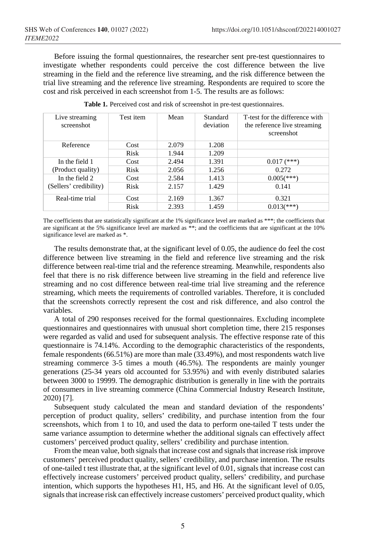Before issuing the formal questionnaires, the researcher sent pre-test questionnaires to investigate whether respondents could perceive the cost difference between the live streaming in the field and the reference live streaming, and the risk difference between the trial live streaming and the reference live streaming. Respondents are required to score the cost and risk perceived in each screenshot from 1-5. The results are as follows:

| Live streaming<br>screenshot | Test item | Mean  | Standard<br>deviation | T-test for the difference with<br>the reference live streaming<br>screenshot |
|------------------------------|-----------|-------|-----------------------|------------------------------------------------------------------------------|
| Reference                    | Cost      | 2.079 | 1.208                 |                                                                              |
|                              | Risk      | 1.944 | 1.209                 |                                                                              |
| In the field 1               | Cost      | 2.494 | 1.391                 | $0.017$ (***)                                                                |
| (Product quality)            | Risk      | 2.056 | 1.256                 | 0.272                                                                        |
| In the field 2               | Cost      | 2.584 | 1.413                 | $0.005$ (***)                                                                |
| (Sellers' credibility)       | Risk      | 2.157 | 1.429                 | 0.141                                                                        |
| Real-time trial              | Cost      | 2.169 | 1.367                 | 0.321                                                                        |
|                              | Risk      | 2.393 | 1.459                 | $0.013$ <sup>***</sup> )                                                     |

|  |  |  | Table 1. Perceived cost and risk of screenshot in pre-test questionnaires. |
|--|--|--|----------------------------------------------------------------------------|
|  |  |  |                                                                            |

The coefficients that are statistically significant at the 1% significance level are marked as \*\*\*; the coefficients that are significant at the 5% significance level are marked as \*\*; and the coefficients that are significant at the 10% significance level are marked as \*.

The results demonstrate that, at the significant level of 0.05, the audience do feel the cost difference between live streaming in the field and reference live streaming and the risk difference between real-time trial and the reference streaming. Meanwhile, respondents also feel that there is no risk difference between live streaming in the field and reference live streaming and no cost difference between real-time trial live streaming and the reference streaming, which meets the requirements of controlled variables. Therefore, it is concluded that the screenshots correctly represent the cost and risk difference, and also control the variables.

A total of 290 responses received for the formal questionnaires. Excluding incomplete questionnaires and questionnaires with unusual short completion time, there 215 responses were regarded as valid and used for subsequent analysis. The effective response rate of this questionnaire is 74.14%. According to the demographic characteristics of the respondents, female respondents (66.51%) are more than male (33.49%), and most respondents watch live streaming commerce 3-5 times a mouth (46.5%). The respondents are mainly younger generations (25-34 years old accounted for 53.95%) and with evenly distributed salaries between 3000 to 19999. The demographic distribution is generally in line with the portraits of consumers in live streaming commerce (China Commercial Industry Research Institute, 2020) [7].

Subsequent study calculated the mean and standard deviation of the respondents' perception of product quality, sellers' credibility, and purchase intention from the four screenshots, which from 1 to 10, and used the data to perform one-tailed T tests under the same variance assumption to determine whether the additional signals can effectively affect customers' perceived product quality, sellers' credibility and purchase intention.

From the mean value, both signals that increase cost and signals that increase risk improve customers' perceived product quality, sellers' credibility, and purchase intention. The results of one-tailed t test illustrate that, at the significant level of 0.01, signals that increase cost can effectively increase customers' perceived product quality, sellers' credibility, and purchase intention, which supports the hypotheses H1, H5, and H6. At the significant level of 0.05, signals that increase risk can effectively increase customers' perceived product quality, which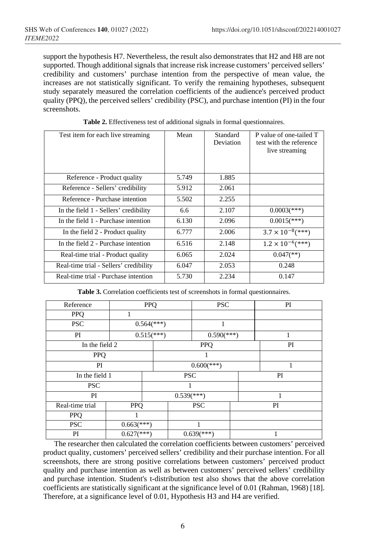support the hypothesis H7. Nevertheless, the result also demonstrates that H2 and H8 are not supported. Though additional signals that increase risk increase customers' perceived sellers' credibility and customers' purchase intention from the perspective of mean value, the increases are not statistically significant. To verify the remaining hypotheses, subsequent study separately measured the correlation coefficients of the audience's perceived product quality (PPQ), the perceived sellers' credibility (PSC), and purchase intention (PI) in the four screenshots.

| Test item for each live streaming      | Mean  | Standard<br>Deviation | P value of one-tailed T<br>test with the reference<br>live streaming |
|----------------------------------------|-------|-----------------------|----------------------------------------------------------------------|
| Reference - Product quality            | 5.749 | 1.885                 |                                                                      |
| Reference - Sellers' credibility       | 5.912 | 2.061                 |                                                                      |
| Reference - Purchase intention         | 5.502 | 2.255                 |                                                                      |
| In the field 1 - Sellers' credibility  | 6.6   | 2.107                 | $0.0003$ (***)                                                       |
| In the field 1 - Purchase intention    | 6.130 | 2.096                 | $0.0015$ <sup>(***)</sup> )                                          |
| In the field 2 - Product quality       | 6.777 | 2.006                 | $3.7 \times 10^{-8}$ (***)                                           |
| In the field 2 - Purchase intention    | 6.516 | 2.148                 | $1.2 \times 10^{-6}$ (***)                                           |
| Real-time trial - Product quality      | 6.065 | 2.024                 | $0.047$ <sup>(**)</sup> )                                            |
| Real-time trial - Sellers' credibility | 6.047 | 2.053                 | 0.248                                                                |
| Real-time trial - Purchase intention   | 5.730 | 2.234                 | 0.147                                                                |

**Table 2.** Effectiveness test of additional signals in formal questionnaires.

**Table 3.** Correlation coefficients test of screenshots in formal questionnaires.

| Reference       | <b>PPQ</b>                 |  |                                     | <b>PSC</b>                 |  | PI |  |
|-----------------|----------------------------|--|-------------------------------------|----------------------------|--|----|--|
| PPQ             | 1                          |  |                                     |                            |  |    |  |
| <b>PSC</b>      | $0.564$ <sup>(***)</sup> ) |  | 1                                   |                            |  |    |  |
| PI              | $0.515$ <sup>***</sup> )   |  |                                     | $0.590$ <sup>(***)</sup> ) |  | 1  |  |
| In the field 2  |                            |  | <b>PPQ</b>                          |                            |  | PI |  |
| PPQ             |                            |  |                                     |                            |  |    |  |
| PI              |                            |  | $0.600$ (***)                       |                            |  |    |  |
| In the field 1  |                            |  | <b>PSC</b>                          |                            |  | PI |  |
| <b>PSC</b>      |                            |  |                                     |                            |  |    |  |
| PI              |                            |  | $\overline{0.539}$ <sup>***</sup> ) |                            |  |    |  |
| Real-time trial | <b>PPQ</b>                 |  |                                     | <b>PSC</b>                 |  | PI |  |
| <b>PPQ</b>      | 1                          |  |                                     |                            |  |    |  |
| <b>PSC</b>      | $0.663$ <sup>(***)</sup> ) |  |                                     |                            |  |    |  |
| PI              | $0.627$ <sup>***</sup> )   |  |                                     | $0.639$ <sup>(***)</sup> ) |  |    |  |

The researcher then calculated the correlation coefficients between customers' perceived product quality, customers' perceived sellers' credibility and their purchase intention. For all screenshots, there are strong positive correlations between customers' perceived product quality and purchase intention as well as between customers' perceived sellers' credibility and purchase intention. Student's t-distribution test also shows that the above correlation coefficients are statistically significant at the significance level of 0.01 (Rahman, 1968) [18]. Therefore, at a significance level of 0.01, Hypothesis H3 and H4 are verified.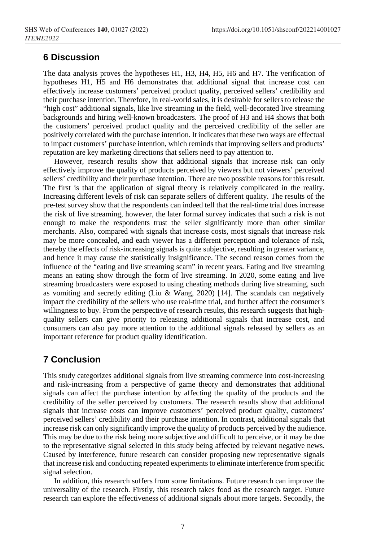#### **6 Discussion**

The data analysis proves the hypotheses H1, H3, H4, H5, H6 and H7. The verification of hypotheses H1, H5 and H6 demonstrates that additional signal that increase cost can effectively increase customers' perceived product quality, perceived sellers' credibility and their purchase intention. Therefore, in real-world sales, it is desirable for sellers to release the "high cost" additional signals, like live streaming in the field, well-decorated live streaming backgrounds and hiring well-known broadcasters. The proof of H3 and H4 shows that both the customers' perceived product quality and the perceived credibility of the seller are positively correlated with the purchase intention. It indicates that these two ways are effectual to impact customers' purchase intention, which reminds that improving sellers and products' reputation are key marketing directions that sellers need to pay attention to.

However, research results show that additional signals that increase risk can only effectively improve the quality of products perceived by viewers but not viewers' perceived sellers' credibility and their purchase intention. There are two possible reasons for this result. The first is that the application of signal theory is relatively complicated in the reality. Increasing different levels of risk can separate sellers of different quality. The results of the pre-test survey show that the respondents can indeed tell that the real-time trial does increase the risk of live streaming, however, the later formal survey indicates that such a risk is not enough to make the respondents trust the seller significantly more than other similar merchants. Also, compared with signals that increase costs, most signals that increase risk may be more concealed, and each viewer has a different perception and tolerance of risk, thereby the effects of risk-increasing signals is quite subjective, resulting in greater variance, and hence it may cause the statistically insignificance. The second reason comes from the influence of the "eating and live streaming scam" in recent years. Eating and live streaming means an eating show through the form of live streaming. In 2020, some eating and live streaming broadcasters were exposed to using cheating methods during live streaming, such as vomiting and secretly editing (Liu & Wang, 2020) [14]. The scandals can negatively impact the credibility of the sellers who use real-time trial, and further affect the consumer's willingness to buy. From the perspective of research results, this research suggests that highquality sellers can give priority to releasing additional signals that increase cost, and consumers can also pay more attention to the additional signals released by sellers as an important reference for product quality identification.

# **7 Conclusion**

This study categorizes additional signals from live streaming commerce into cost-increasing and risk-increasing from a perspective of game theory and demonstrates that additional signals can affect the purchase intention by affecting the quality of the products and the credibility of the seller perceived by customers. The research results show that additional signals that increase costs can improve customers' perceived product quality, customers' perceived sellers' credibility and their purchase intention. In contrast, additional signals that increase risk can only significantly improve the quality of products perceived by the audience. This may be due to the risk being more subjective and difficult to perceive, or it may be due to the representative signal selected in this study being affected by relevant negative news. Caused by interference, future research can consider proposing new representative signals that increase risk and conducting repeated experiments to eliminate interference from specific signal selection.

In addition, this research suffers from some limitations. Future research can improve the universality of the research. Firstly, this research takes food as the research target. Future research can explore the effectiveness of additional signals about more targets. Secondly, the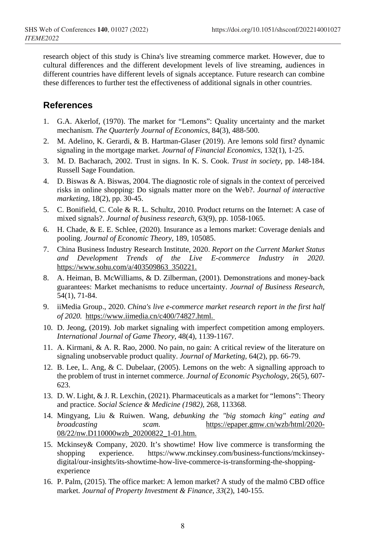research object of this study is China's live streaming commerce market. However, due to cultural differences and the different development levels of live streaming, audiences in different countries have different levels of signals acceptance. Future research can combine these differences to further test the effectiveness of additional signals in other countries.

#### **References**

- 1. G.A. Akerlof, (1970). The market for "Lemons": Quality uncertainty and the market mechanism. *The Quarterly Journal of Economics*, 84(3), 488-500.
- 2. M. Adelino, K. Gerardi, & B. Hartman-Glaser (2019). Are lemons sold first? dynamic signaling in the mortgage market. *Journal of Financial Economics*, 132(1), 1-25.
- 3. M. D. Bacharach, 2002. Trust in signs. In K. S. Cook. *Trust in society*, pp. 148-184. Russell Sage Foundation.
- 4. D. Biswas & A. Biswas, 2004. The diagnostic role of signals in the context of perceived risks in online shopping: Do signals matter more on the Web?. *Journal of interactive marketing*, 18(2), pp. 30-45.
- 5. C. Bonifield, C. Cole & R. L. Schultz, 2010. Product returns on the Internet: A case of mixed signals?. *Journal of business research*, 63(9), pp. 1058-1065.
- 6. H. Chade, & E. E. Schlee, (2020). Insurance as a lemons market: Coverage denials and pooling. *Journal of Economic Theory*, 189, 105085.
- 7. China Business Industry Research Institute, 2020. *Report on the Current Market Status and Development Trends of the Live E-commerce Industry in 2020*. https://www.sohu.com/a/403509863\_350221.
- 8. A. Heiman, B. McWilliams, & D. Zilberman, (2001). Demonstrations and money-back guarantees: Market mechanisms to reduce uncertainty. *Journal of Business Research*, 54(1), 71-84.
- 9. iiMedia Group., 2020. *China's live e-commerce market research report in the first half of 2020.* https://www.iimedia.cn/c400/74827.html.
- 10. D. Jeong, (2019). Job market signaling with imperfect competition among employers. *International Journal of Game Theory*, 48(4), 1139-1167.
- 11. A. Kirmani, & A. R. Rao, 2000. No pain, no gain: A critical review of the literature on signaling unobservable product quality. *Journal of Marketing*, 64(2), pp. 66-79.
- 12. B. Lee, L. Ang, & C. Dubelaar, (2005). Lemons on the web: A signalling approach to the problem of trust in internet commerce. *Journal of Economic Psychology*, 26(5), 607- 623.
- 13. D. W. Light, & J. R. Lexchin, (2021). Pharmaceuticals as a market for "lemons": Theory and practice. *Social Science & Medicine (1982)*, 268, 113368.
- 14. Mingyang, Liu & Ruiwen. Wang, *debunking the "big stomach king" eating and broadcasting scam.* https://epaper.gmw.cn/wzb/html/2020- 08/22/nw.D110000wzb\_20200822\_1-01.htm.
- 15. Mckinsey& Company, 2020. It's showtime! How live commerce is transforming the shopping experience. https://www.mckinsey.com/business-functions/mckinseyshopping experience. https://www.mckinsey.com/business-functions/mckinseydigital/our-insights/its-showtime-how-live-commerce-is-transforming-the-shoppingexperience
- 16. P. Palm, (2015). The office market: A lemon market? A study of the malmö CBD office market. *Journal of Property Investment & Finance, 33*(2), 140-155.